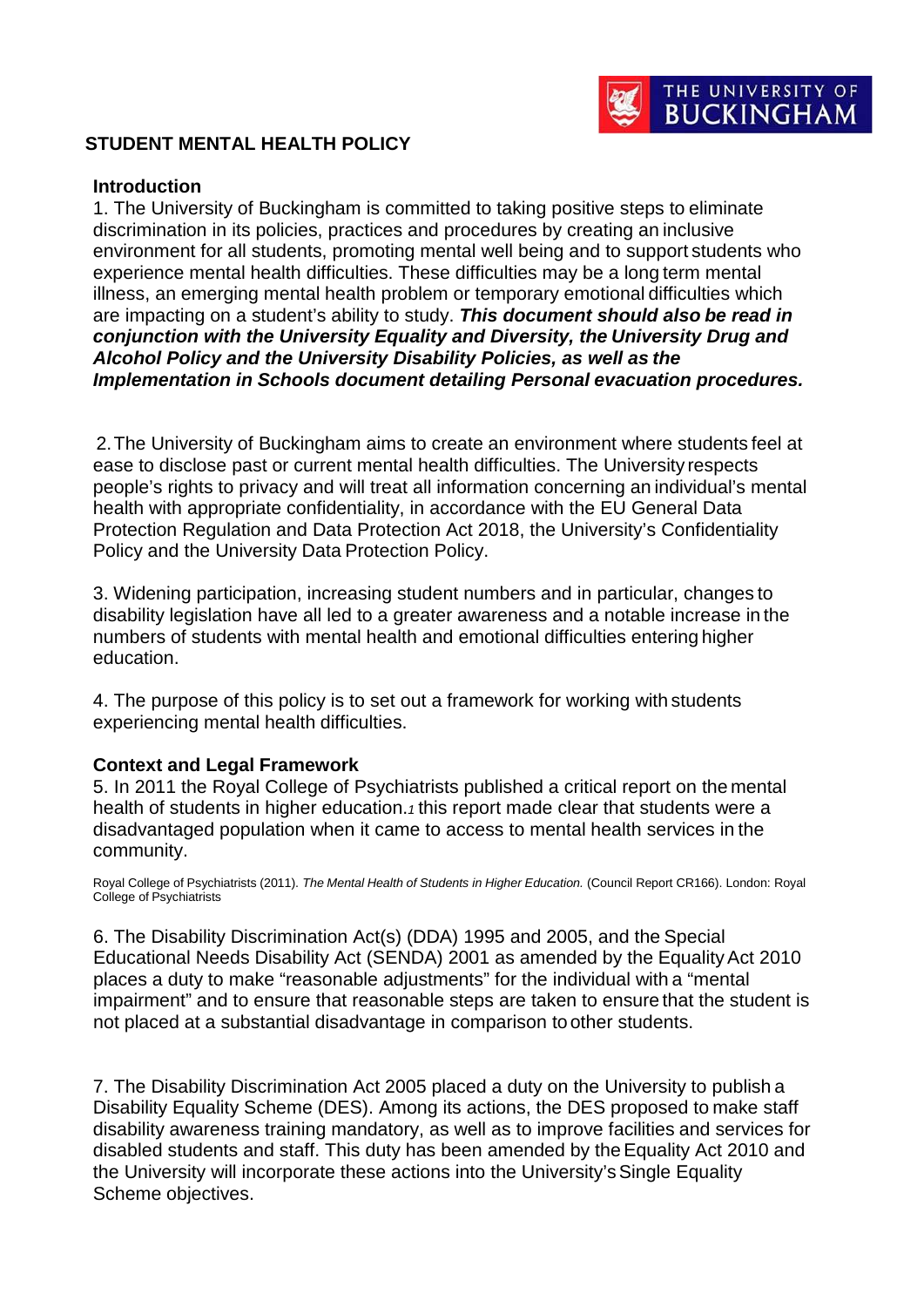

## **STUDENT MENTAL HEALTH POLICY**

#### **Introduction**

1. The University of Buckingham is committed to taking positive steps to eliminate discrimination in its policies, practices and procedures by creating an inclusive environment for all students, promoting mental well being and to support students who experience mental health difficulties. These difficulties may be a long term mental illness, an emerging mental health problem or temporary emotional difficulties which are impacting on a student's ability to study. *This document should also be read in conjunction with the University Equality and Diversity, the University Drug and Alcohol Policy and the University Disability Policies, as well as the Implementation in Schools document detailing Personal evacuation procedures.*

2.The University of Buckingham aims to create an environment where students feel at ease to disclose past or current mental health difficulties. The University respects people's rights to privacy and will treat all information concerning an individual's mental health with appropriate confidentiality, in accordance with the EU General Data Protection Regulation and Data Protection Act 2018, the University's Confidentiality Policy and the University Data Protection Policy.

3. Widening participation, increasing student numbers and in particular, changes to disability legislation have all led to a greater awareness and a notable increase in the numbers of students with mental health and emotional difficulties entering higher education.

4. The purpose of this policy is to set out a framework for working with students experiencing mental health difficulties.

#### **Context and Legal Framework**

5. In 2011 the Royal College of Psychiatrists published a critical report on the mental health of students in higher education.*1* this report made clear that students were a disadvantaged population when it came to access to mental health services in the community.

Royal College of Psychiatrists (2011). *The Mental Health of Students in Higher Education.* (Council Report CR166). London: Royal College of Psychiatrists

6. The Disability Discrimination Act(s) (DDA) 1995 and 2005, and the Special Educational Needs Disability Act (SENDA) 2001 as amended by the EqualityAct 2010 places a duty to make "reasonable adjustments" for the individual with a "mental impairment" and to ensure that reasonable steps are taken to ensure that the student is not placed at a substantial disadvantage in comparison to other students.

7. The Disability Discrimination Act 2005 placed a duty on the University to publish a Disability Equality Scheme (DES). Among its actions, the DES proposed to make staff disability awareness training mandatory, as well as to improve facilities and services for disabled students and staff. This duty has been amended by theEquality Act 2010 and the University will incorporate these actions into the University'sSingle Equality Scheme objectives.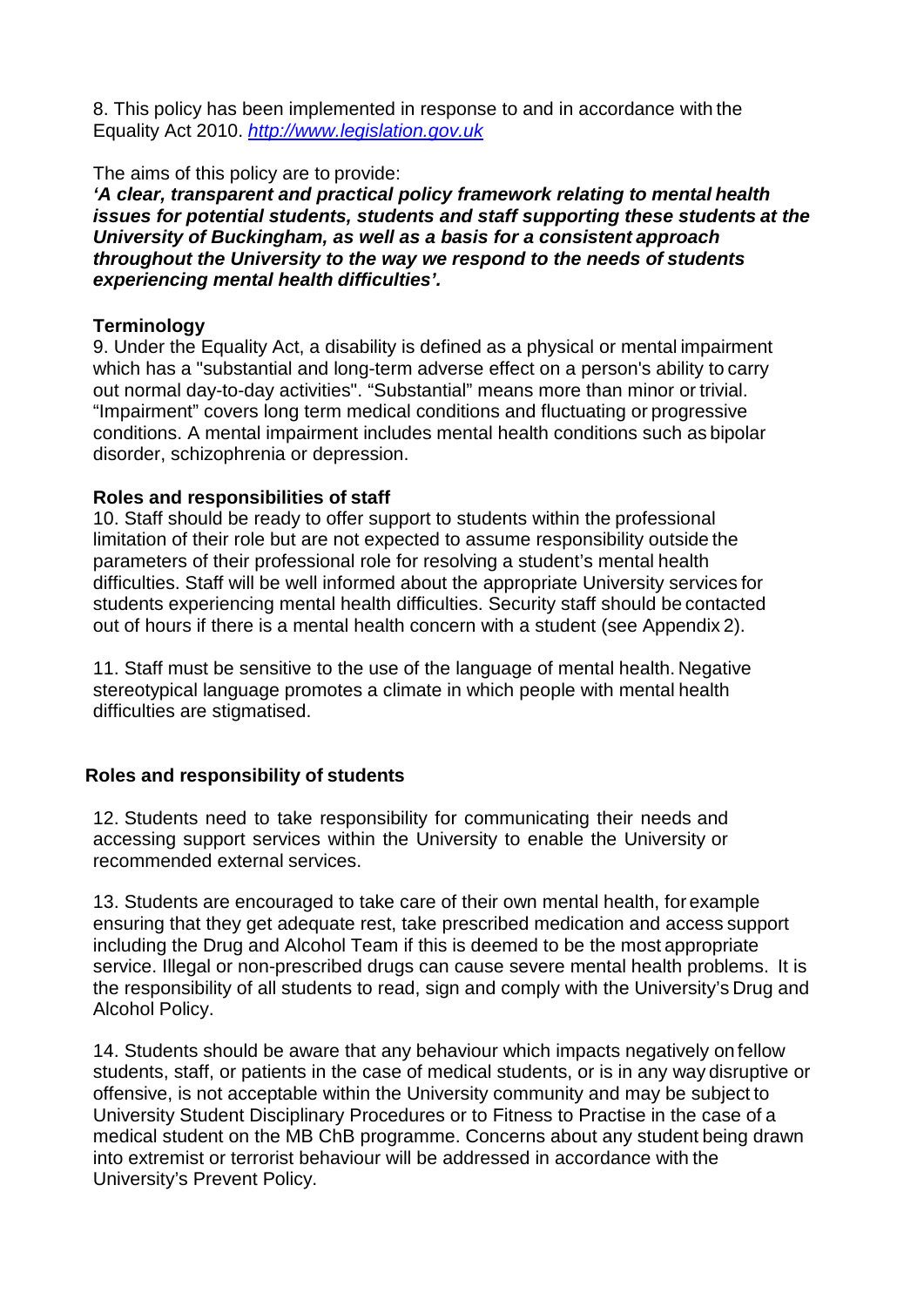8. This policy has been implemented in response to and in accordance with the Equality Act 2010. *[http://www.legislation.gov.uk](http://www.legislation.gov.uk/)*

The aims of this policy are to provide:

*'A clear, transparent and practical policy framework relating to mental health issues for potential students, students and staff supporting these students at the University of Buckingham, as well as a basis for a consistent approach throughout the University to the way we respond to the needs of students experiencing mental health difficulties'.*

## **Terminology**

9. Under the Equality Act, a disability is defined as a physical or mental impairment which has a "substantial and long-term adverse effect on a person's ability to carry out normal day-to-day activities". "Substantial" means more than minor or trivial. "Impairment" covers long term medical conditions and fluctuating or progressive conditions. A mental impairment includes mental health conditions such as bipolar disorder, schizophrenia or depression.

## **Roles and responsibilities of staff**

10. Staff should be ready to offer support to students within the professional limitation of their role but are not expected to assume responsibility outside the parameters of their professional role for resolving a student's mental health difficulties. Staff will be well informed about the appropriate University services for students experiencing mental health difficulties. Security staff should be contacted out of hours if there is a mental health concern with a student (see Appendix 2).

11. Staff must be sensitive to the use of the language of mental health. Negative stereotypical language promotes a climate in which people with mental health difficulties are stigmatised.

# **Roles and responsibility of students**

12. Students need to take responsibility for communicating their needs and accessing support services within the University to enable the University or recommended external services.

13. Students are encouraged to take care of their own mental health, for example ensuring that they get adequate rest, take prescribed medication and access support including the Drug and Alcohol Team if this is deemed to be the most appropriate service. Illegal or non-prescribed drugs can cause severe mental health problems. It is the responsibility of all students to read, sign and comply with the University's Drug and Alcohol Policy.

14. Students should be aware that any behaviour which impacts negatively on fellow students, staff, or patients in the case of medical students, or is in any way disruptive or offensive, is not acceptable within the University community and may be subject to University Student Disciplinary Procedures or to Fitness to Practise in the case of a medical student on the MB ChB programme. Concerns about any student being drawn into extremist or terrorist behaviour will be addressed in accordance with the University's Prevent Policy.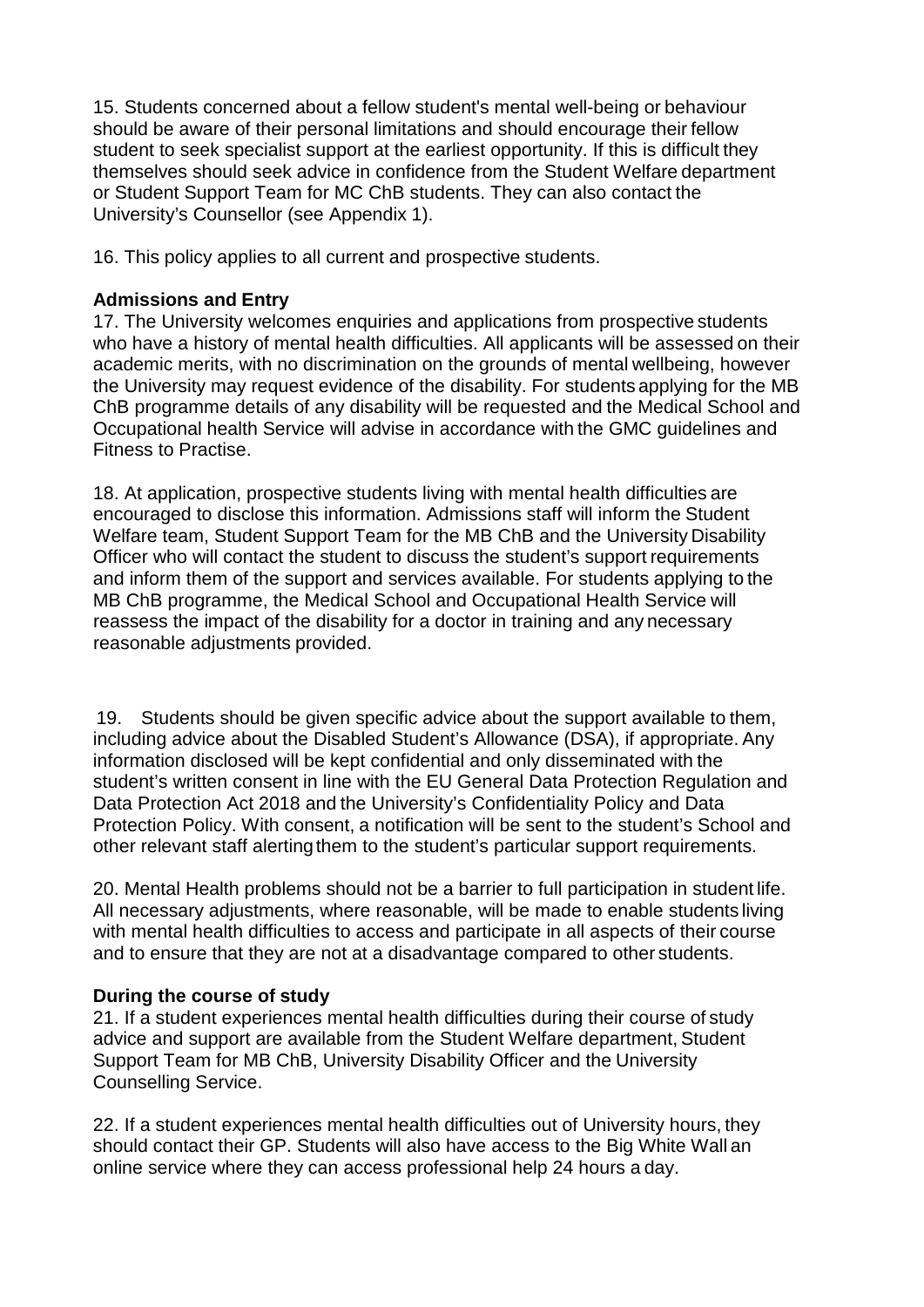15. Students concerned about a fellow student's mental well-being or behaviour should be aware of their personal limitations and should encourage their fellow student to seek specialist support at the earliest opportunity. If this is difficult they themselves should seek advice in confidence from the Student Welfare department or Student Support Team for MC ChB students. They can also contact the University's Counsellor (see Appendix 1).

16. This policy applies to all current and prospective students.

# **Admissions and Entry**

17. The University welcomes enquiries and applications from prospective students who have a history of mental health difficulties. All applicants will be assessed on their academic merits, with no discrimination on the grounds of mental wellbeing, however the University may request evidence of the disability. For students applying for the MB ChB programme details of any disability will be requested and the Medical School and Occupational health Service will advise in accordance with the GMC guidelines and Fitness to Practise.

18. At application, prospective students living with mental health difficulties are encouraged to disclose this information. Admissions staff will inform the Student Welfare team, Student Support Team for the MB ChB and the University Disability Officer who will contact the student to discuss the student's support requirements and inform them of the support and services available. For students applying to the MB ChB programme, the Medical School and Occupational Health Service will reassess the impact of the disability for a doctor in training and any necessary reasonable adjustments provided.

19. Students should be given specific advice about the support available to them, including advice about the Disabled Student's Allowance (DSA), if appropriate. Any information disclosed will be kept confidential and only disseminated with the student's written consent in line with the EU General Data Protection Regulation and Data Protection Act 2018 and the University's Confidentiality Policy and Data Protection Policy. With consent, a notification will be sent to the student's School and other relevant staff alertingthem to the student's particular support requirements.

20. Mental Health problems should not be a barrier to full participation in student life. All necessary adjustments, where reasonable, will be made to enable students living with mental health difficulties to access and participate in all aspects of their course and to ensure that they are not at a disadvantage compared to other students.

# **During the course of study**

21. If a student experiences mental health difficulties during their course of study advice and support are available from the Student Welfare department, Student Support Team for MB ChB, University Disability Officer and the University Counselling Service.

22. If a student experiences mental health difficulties out of University hours, they should contact their GP. Students will also have access to the Big White Wall an online service where they can access professional help 24 hours a day.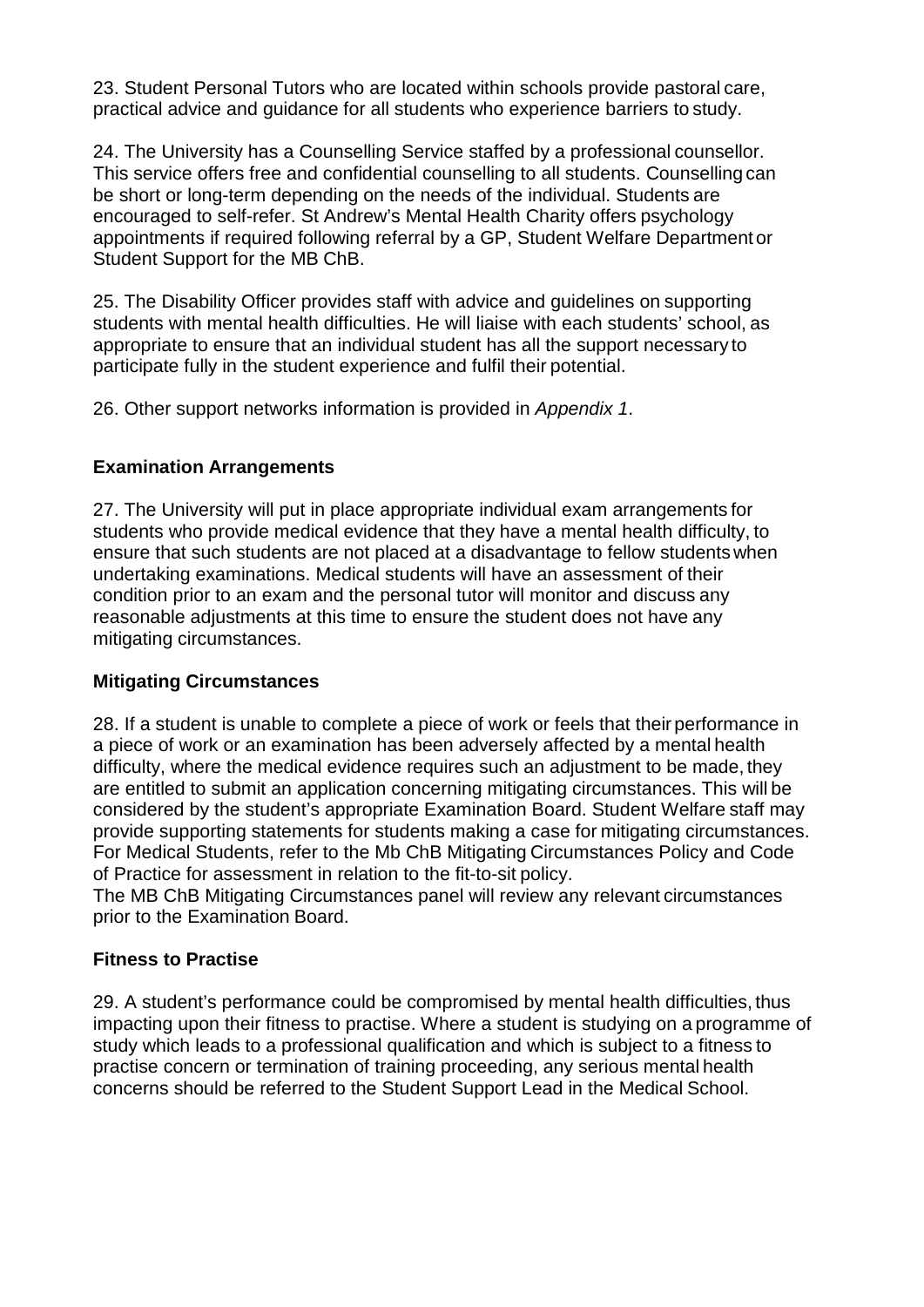23. Student Personal Tutors who are located within schools provide pastoral care, practical advice and guidance for all students who experience barriers to study.

24. The University has a Counselling Service staffed by a professional counsellor. This service offers free and confidential counselling to all students. Counselling can be short or long-term depending on the needs of the individual. Students are encouraged to self-refer. St Andrew's Mental Health Charity offers psychology appointments if required following referral by a GP, Student Welfare Department or Student Support for the MB ChB.

25. The Disability Officer provides staff with advice and guidelines on supporting students with mental health difficulties. He will liaise with each students' school, as appropriate to ensure that an individual student has all the support necessary to participate fully in the student experience and fulfil their potential.

26. Other support networks information is provided in *Appendix 1*.

## **Examination Arrangements**

27. The University will put in place appropriate individual exam arrangements for students who provide medical evidence that they have a mental health difficulty, to ensure that such students are not placed at a disadvantage to fellow studentswhen undertaking examinations. Medical students will have an assessment of their condition prior to an exam and the personal tutor will monitor and discuss any reasonable adjustments at this time to ensure the student does not have any mitigating circumstances.

## **Mitigating Circumstances**

28. If a student is unable to complete a piece of work or feels that their performance in a piece of work or an examination has been adversely affected by a mental health difficulty, where the medical evidence requires such an adjustment to be made, they are entitled to submit an application concerning mitigating circumstances. This will be considered by the student's appropriate Examination Board. Student Welfare staff may provide supporting statements for students making a case for mitigating circumstances. For Medical Students, refer to the Mb ChB Mitigating Circumstances Policy and Code of Practice for assessment in relation to the fit-to-sit policy.

The MB ChB Mitigating Circumstances panel will review any relevant circumstances prior to the Examination Board.

# **Fitness to Practise**

29. A student's performance could be compromised by mental health difficulties, thus impacting upon their fitness to practise. Where a student is studying on a programme of study which leads to a professional qualification and which is subject to a fitness to practise concern or termination of training proceeding, any serious mental health concerns should be referred to the Student Support Lead in the Medical School.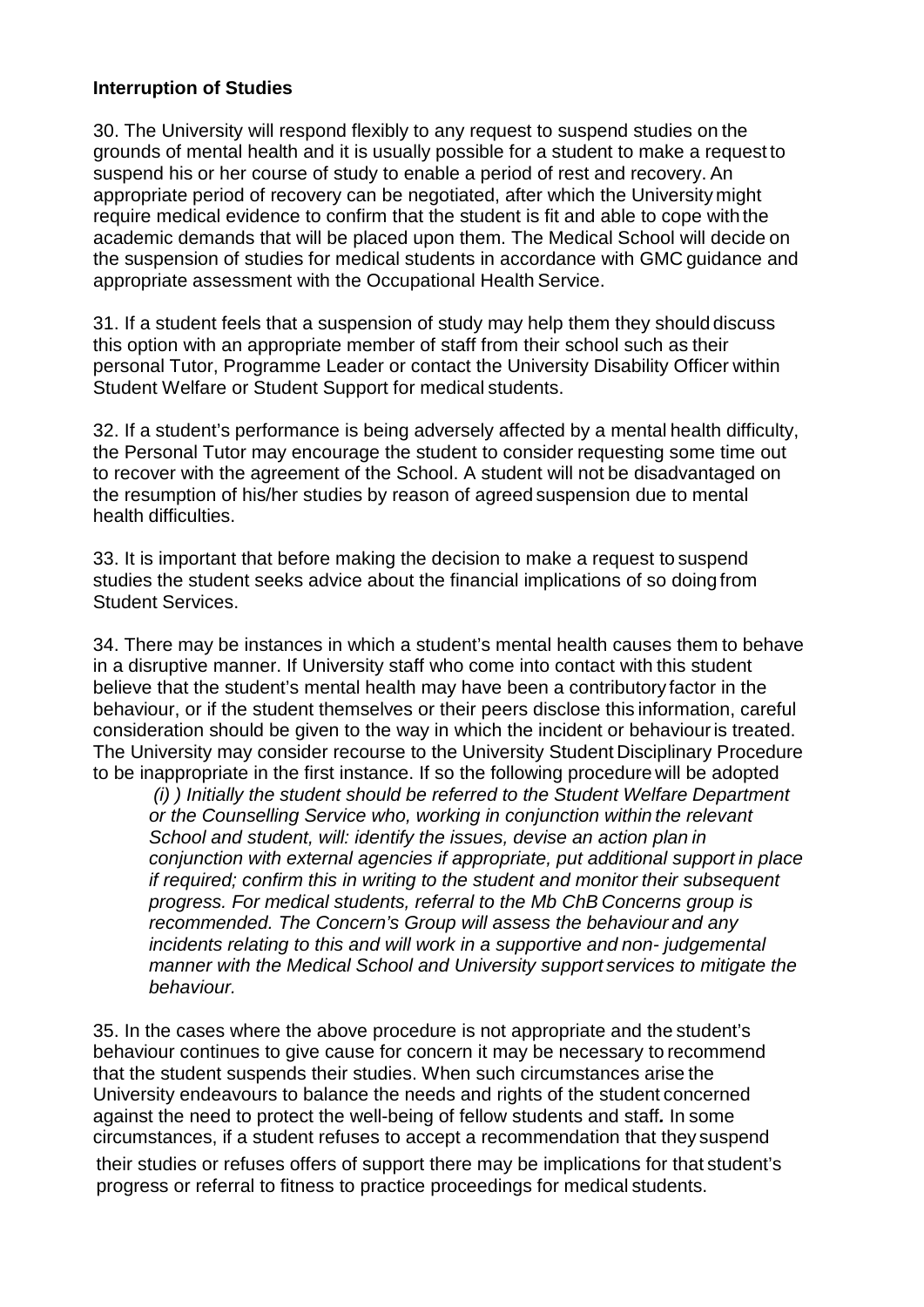## **Interruption of Studies**

30. The University will respond flexibly to any request to suspend studies on the grounds of mental health and it is usually possible for a student to make a request to suspend his or her course of study to enable a period of rest and recovery. An appropriate period of recovery can be negotiated, after which the University might require medical evidence to confirm that the student is fit and able to cope with the academic demands that will be placed upon them. The Medical School will decide on the suspension of studies for medical students in accordance with GMC guidance and appropriate assessment with the Occupational Health Service.

31. If a student feels that a suspension of study may help them they should discuss this option with an appropriate member of staff from their school such as their personal Tutor, Programme Leader or contact the University Disability Officer within Student Welfare or Student Support for medical students.

32. If a student's performance is being adversely affected by a mental health difficulty, the Personal Tutor may encourage the student to consider requesting some time out to recover with the agreement of the School. A student will not be disadvantaged on the resumption of his/her studies by reason of agreed suspension due to mental health difficulties.

33. It is important that before making the decision to make a request to suspend studies the student seeks advice about the financial implications of so doing from Student Services.

34. There may be instances in which a student's mental health causes them to behave in a disruptive manner. If University staff who come into contact with this student believe that the student's mental health may have been a contributory factor in the behaviour, or if the student themselves or their peers disclose this information, careful consideration should be given to the way in which the incident or behaviouris treated. The University may consider recourse to the University Student Disciplinary Procedure to be inappropriate in the first instance. If so the following procedure will be adopted

*(i) ) Initially the student should be referred to the Student Welfare Department or the Counselling Service who, working in conjunction within the relevant School and student, will: identify the issues, devise an action plan in conjunction with external agencies if appropriate, put additional support in place if required; confirm this in writing to the student and monitor their subsequent progress. For medical students, referral to the Mb ChB Concerns group is recommended. The Concern's Group will assess the behaviour and any incidents relating to this and will work in a supportive and non- judgemental manner with the Medical School and University support services to mitigate the behaviour.*

35. In the cases where the above procedure is not appropriate and the student's behaviour continues to give cause for concern it may be necessary to recommend that the student suspends their studies. When such circumstances arise the University endeavours to balance the needs and rights of the student concerned against the need to protect the well-being of fellow students and staff*.* In some circumstances, if a student refuses to accept a recommendation that they suspend their studies or refuses offers of support there may be implications for that student's progress or referral to fitness to practice proceedings for medical students.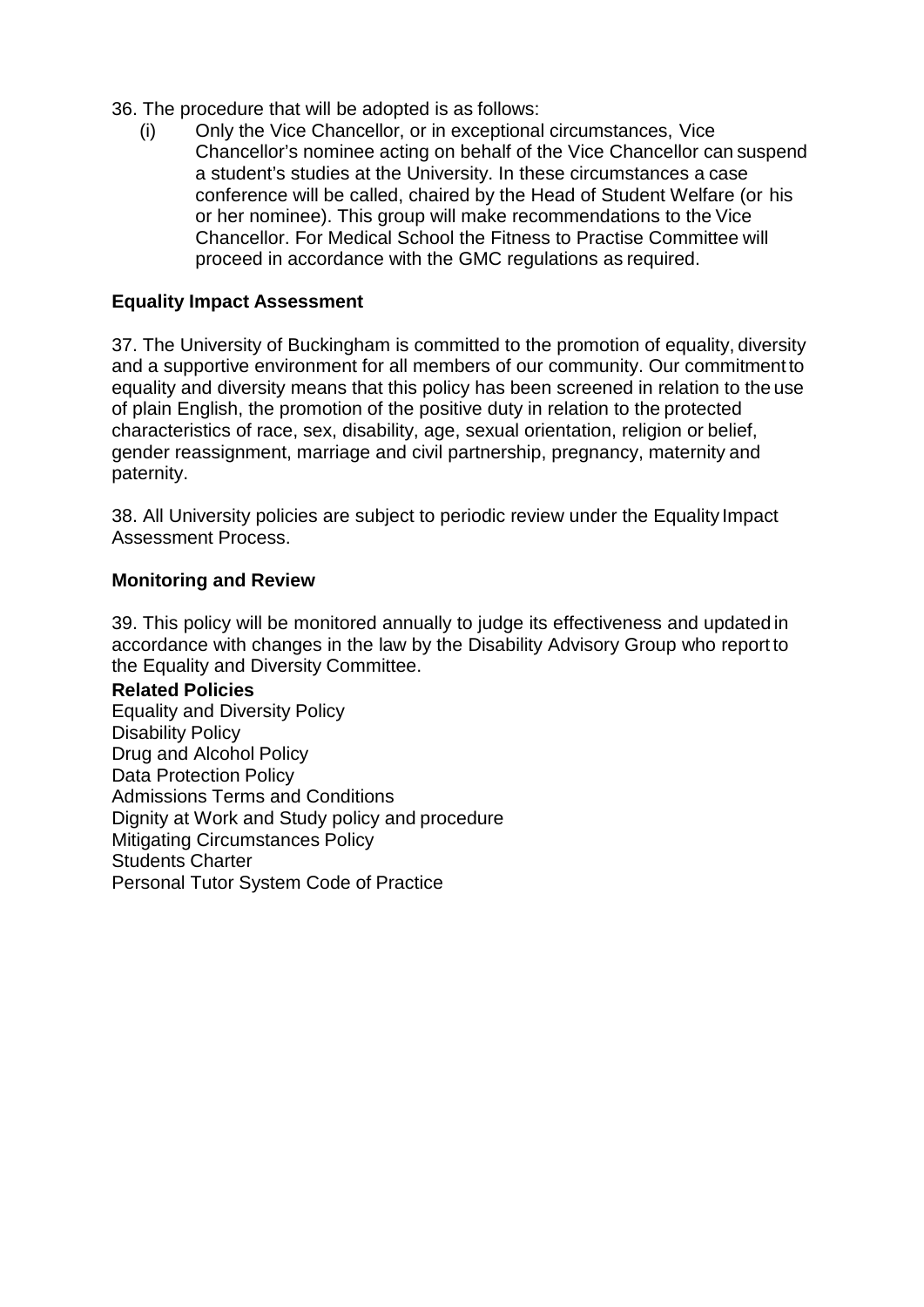- 36. The procedure that will be adopted is as follows:
	- (i) Only the Vice Chancellor, or in exceptional circumstances, Vice Chancellor's nominee acting on behalf of the Vice Chancellor can suspend a student's studies at the University. In these circumstances a case conference will be called, chaired by the Head of Student Welfare (or his or her nominee). This group will make recommendations to the Vice Chancellor. For Medical School the Fitness to Practise Committee will proceed in accordance with the GMC regulations as required.

## **Equality Impact Assessment**

37. The University of Buckingham is committed to the promotion of equality, diversity and a supportive environment for all members of our community. Our commitment to equality and diversity means that this policy has been screened in relation to the use of plain English, the promotion of the positive duty in relation to the protected characteristics of race, sex, disability, age, sexual orientation, religion or belief, gender reassignment, marriage and civil partnership, pregnancy, maternity and paternity.

38. All University policies are subject to periodic review under the Equality Impact Assessment Process.

#### **Monitoring and Review**

39. This policy will be monitored annually to judge its effectiveness and updated in accordance with changes in the law by the Disability Advisory Group who report to the Equality and Diversity Committee.

**Related Policies** Equality and Diversity Policy Disability Policy Drug and Alcohol Policy Data Protection Policy Admissions Terms and Conditions Dignity at Work and Study policy and procedure Mitigating Circumstances Policy

Students Charter

Personal Tutor System Code of Practice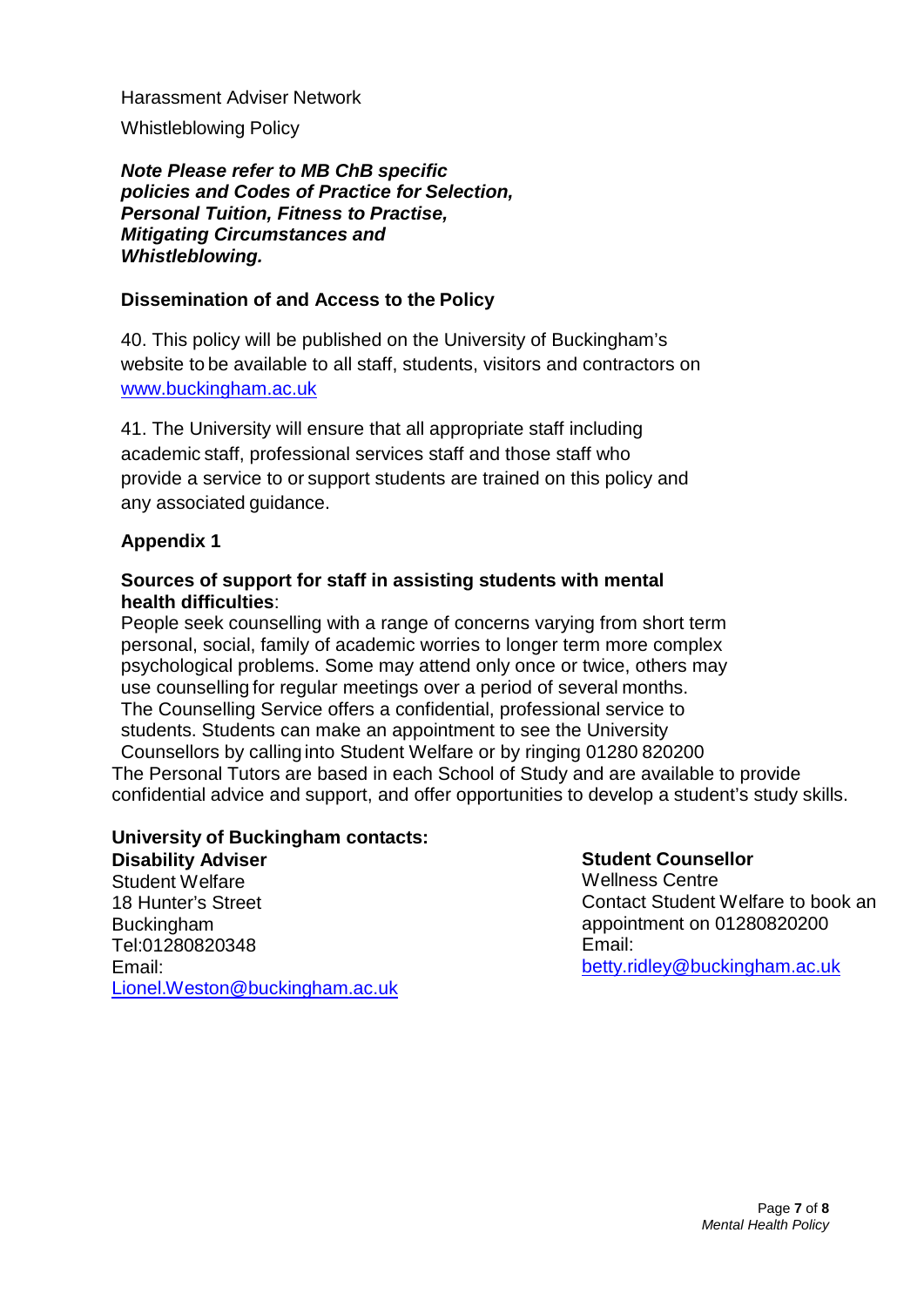Harassment Adviser Network Whistleblowing Policy

*Note Please refer to MB ChB specific policies and Codes of Practice for Selection, Personal Tuition, Fitness to Practise, Mitigating Circumstances and Whistleblowing.*

## **Dissemination of and Access to the Policy**

40. This policy will be published on the University of Buckingham's website to be available to all staff, students, visitors and contractors on [www.buckingham.ac.uk](http://www.buckingham.ac.uk/)

41. The University will ensure that all appropriate staff including academic staff, professional services staff and those staff who provide a service to or support students are trained on this policy and any associated guidance.

## **Appendix 1**

## **Sources of support for staff in assisting students with mental health difficulties**:

People seek counselling with a range of concerns varying from short term personal, social, family of academic worries to longer term more complex psychological problems. Some may attend only once or twice, others may use counselling for regular meetings over a period of several months. The Counselling Service offers a confidential, professional service to students. Students can make an appointment to see the University Counsellors by calling into Student Welfare or by ringing 01280 820200 The Personal Tutors are based in each School of Study and are available to provide confidential advice and support, and offer opportunities to develop a student's study skills.

## **University of Buckingham contacts:**

**Disability Adviser**  Student Welfare 18 Hunter's Street Buckingham Tel:01280820348 Email: [Lionel.Weston@buckingham.ac.uk](mailto:Lionel.Weston@buckingham.ac.uk)

## **Student Counsellor**

Wellness Centre Contact Student Welfare to book an appointment on 01280820200 Email: [betty.ridley@buckingham.ac.uk](mailto:betty.ridley@buckingham.ac.uk)